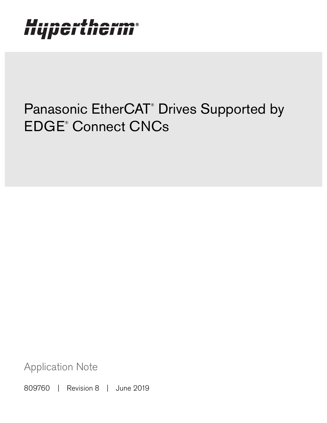# Hypertherm®

## Panasonic EtherCAT<sup>®</sup> Drives Supported by EDGE® Connect CNCs

Application Note

809760 | Revision 8 | June 2019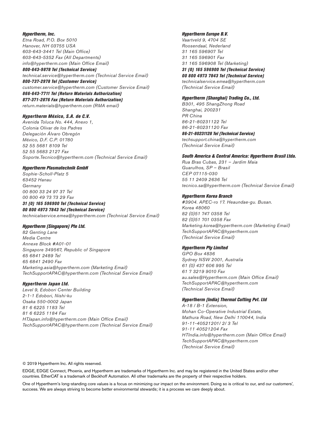#### Hypertherm, Inc.

Etna Road, P.O. Box 5010 Hanover, NH 03755 USA 603-643-3441 Tel (Main Office) 603-643-5352 Fax (All Departments) info@hypertherm.com (Main Office Email)

800-643-9878 Tel (Technical Service) technical.service@hypertherm.com (Technical Service Email) 800-737-2978 Tel (Customer Service)

customer.service@hypertherm.com (Customer Service Email)

866-643-7711 Tel (Return Materials Authorization) 877-371-2876 Fax (Return Materials Authorization) return.materials@hypertherm.com (RMA email)

#### Hypertherm México, S.A. de C.V.

Avenida Toluca No. 444, Anexo 1, Colonia Olivar de los Padres Delegación Álvaro Obregón México, D.F. C.P. 01780 52 55 5681 8109 Tel 52 55 5683 2127 Fax Soporte.Tecnico@hypertherm.com (Technical Service Email)

#### Hypertherm Plasmatechnik GmbH

Sophie-Scholl-Platz 5 63452 Hanau **Germany** 00 800 33 24 97 37 Tel 00 800 49 73 73 29 Fax

### 31 (0) 165 596900 Tel (Technical Service)

00 800 4973 7843 Tel (Technical Service) technicalservice.emea@hypertherm.com (Technical Service Email)

#### Hypertherm (Singapore) Pte Ltd.

82 Genting Lane Media Centre Annexe Block #A01-01 Singapore 349567, Republic of Singapore 65 6841 2489 Tel 65 6841 2490 Fax Marketing.asia@hypertherm.com (Marketing Email) TechSupportAPAC@hypertherm.com (Technical Service Email)

#### Hypertherm Japan Ltd.

Level 9, Edobori Center Building 2-1-1 Edobori, Nishi-ku Osaka 550-0002 Japan 81 6 6225 1183 Tel 81 6 6225 1184 Fax HTJapan.info@hypertherm.com (Main Office Email) TechSupportAPAC@hypertherm.com (Technical Service Email)

#### Hypertherm Europe B.V.

Vaartveld 9, 4704 SE Roosendaal, Nederland 31 165 596907 Tel 31 165 596901 Fax 31 165 596908 Tel (Marketing) 31 (0) 165 596900 Tel (Technical Service) 00 800 4973 7843 Tel (Technical Service)

technicalservice.emea@hypertherm.com (Technical Service Email)

#### Hypertherm (Shanghai) Trading Co., Ltd.

B301, 495 ShangZhong Road Shanghai, 200231 PR China 86-21-80231122 Tel 86-21-80231120 Fax

86-21-80231128 Tel (Technical Service) techsupport.china@hypertherm.com (Technical Service Email)

#### South America & Central America: Hypertherm Brasil Ltda.

Rua Bras Cubas, 231 – Jardim Maia Guarulhos, SP – Brasil CEP 07115-030 55 11 2409 2636 Tel tecnico.sa@hypertherm.com (Technical Service Email)

#### Hypertherm Korea Branch

#3904. APEC-ro 17. Heaundae-gu. Busan. Korea 48060 82 (0)51 747 0358 Tel 82 (0)51 701 0358 Fax Marketing.korea@hypertherm.com (Marketing Email) TechSupportAPAC@hypertherm.com (Technical Service Email)

#### Hypertherm Pty Limited

GPO Box 4836 Sydney NSW 2001, Australia 61 (0) 437 606 995 Tel 61 7 3219 9010 Fax au.sales@Hypertherm.com (Main Office Email) TechSupportAPAC@hypertherm.com (Technical Service Email)

### Hypertherm (India) Thermal Cutting Pvt. Ltd

A-18 / B-1 Extension, Mohan Co-Operative Industrial Estate, Mathura Road, New Delhi 110044, India 91-11-40521201/ 2/ 3 Tel 91-11 40521204 Fax HTIndia.info@hypertherm.com (Main Office Email) TechSupportAPAC@hypertherm.com (Technical Service Email)

© 2019 Hypertherm Inc. All rights reserved.

EDGE, EDGE Connect, Phoenix, and Hypertherm are trademarks of Hypertherm Inc. and may be registered in the United States and/or other countries. EtherCAT is a trademark of Beckhoff Automation. All other trademarks are the property of their respective holders.

One of Hypertherm's long-standing core values is a focus on minimizing our impact on the environment. Doing so is critical to our, and our customers', success. We are always striving to become better environmental stewards; it is a process we care deeply about.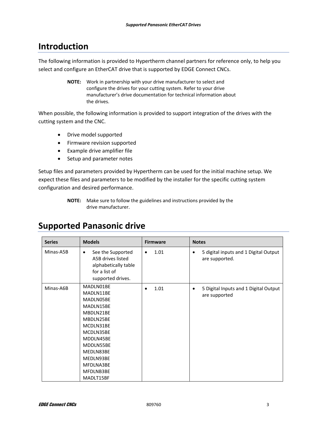### **Introduction**

The following information is provided to Hypertherm channel partners for reference only, to help you select and configure an EtherCAT drive that is supported by EDGE Connect CNCs.

> **NOTE:** Work in partnership with your drive manufacturer to select and configure the drives for your cutting system. Refer to your drive manufacturer's drive documentation for technical information about the drives.

When possible, the following information is provided to support integration of the drives with the cutting system and the CNC.

- Drive model supported
- Firmware revision supported
- Example drive amplifier file
- Setup and parameter notes

Setup files and parameters provided by Hypertherm can be used for the initial machine setup. We expect these files and parameters to be modified by the installer for the specific cutting system configuration and desired performance.

### **Supported Panasonic drive**

| <b>Series</b> | <b>Models</b>                                                                                                                                                                                   | <b>Firmware</b> | <b>Notes</b>                                                 |
|---------------|-------------------------------------------------------------------------------------------------------------------------------------------------------------------------------------------------|-----------------|--------------------------------------------------------------|
| Minas-A5B     | See the Supported<br>٠<br>A5B drives listed<br>alphabetically table<br>for a list of<br>supported drives.                                                                                       | 1.01<br>٠       | 5 digital inputs and 1 Digital Output<br>٠<br>are supported. |
| Minas-A6B     | MADLN01BE<br>MADLN11BE<br>MADLN05BE<br>MADLN15BE<br>MBDLN21BE<br>MBDLN25BE<br>MCDLN31BE<br>MCDLN35BE<br>MDDLN45BE<br>MDDLN55BE<br>MEDLN83BE<br>MEDLN93BE<br>MFDLNA3BE<br>MFDLNB3BE<br>MADLT15BF | 1.01            | 5 Digital Inputs and 1 Digital Output<br>are supported       |

**NOTE:** Make sure to follow the guidelines and instructions provided by the drive manufacturer.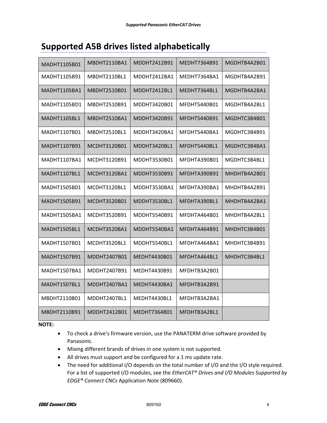### **Supported A5B drives listed alphabetically**

| MADHT1105B01 | MBDHT2110BA1 | MDDHT2412B91 | MEDHT7364B91 | MGDHTB4A2B01 |
|--------------|--------------|--------------|--------------|--------------|
| MADHT1105B91 | MBDHT2110BL1 | MDDHT2412BA1 | MEDHT7364BA1 | MGDHTB4A2B91 |
| MADHT1105BA1 | MBDHT2510B01 | MDDHT2412BL1 | MEDHT7364BL1 | MGDHTB4A2BA1 |
| MADHT1105BD1 | MBDHT2510B91 | MDDHT3420B01 | MFDHT5440B01 | MGDHTB4A2BL1 |
| MADHT1105BL1 | MBDHT2510BA1 | MDDHT3420B91 | MFDHT5440B91 | MGDHTC3B4B01 |
| MADHT1107B01 | MBDHT2510BL1 | MDDHT3420BA1 | MFDHT5440BA1 | MGDHTC3B4B91 |
| MADHT1107B91 | MCDHT3120B01 | MDDHT3420BL1 | MFDHT5440BL1 | MGDHTC3B4BA1 |
| MADHT1107BA1 | MCDHT3120B91 | MDDHT3530B01 | MFDHTA390B01 | MGDHTC3B4BL1 |
| MADHT1107BL1 | MCDHT3120BA1 | MDDHT3530B91 | MFDHTA390B91 | MHDHTB4A2B01 |
| MADHT1505B01 | MCDHT3120BL1 | MDDHT3530BA1 | MFDHTA390BA1 | MHDHTB4A2B91 |
| MADHT1505B91 | MCDHT3520B01 | MDDHT3530BL1 | MFDHTA390BL1 | MHDHTB4A2BA1 |
| MADHT1505BA1 | MCDHT3520B91 | MDDHT5540B91 | MFDHTA464B01 | MHDHTB4A2BL1 |
| MADHT1505BL1 | MCDHT3520BA1 | MDDHT5540BA1 | MFDHTA464B91 | MHDHTC3B4B01 |
| MADHT1507B01 | MCDHT3520BL1 | MDDHT5540BL1 | MFDHTA464BA1 | MHDHTC3B4B91 |
| MADHT1507B91 | MDDHT2407B01 | MEDHT4430B01 | MFDHTA464BL1 | MHDHTC3B4BL1 |
| MADHT1507BA1 | MDDHT2407B91 | MEDHT4430B91 | MFDHTB3A2B01 |              |
| MADHT1507BL1 | MDDHT2407BA1 | MEDHT4430BA1 | MFDHTB3A2B91 |              |
| MBDHT2110B01 | MDDHT2407BL1 | MEDHT4430BL1 | MFDHTB3A2BA1 |              |
| MBDHT2110B91 | MDDHT2412B01 | MEDHT7364B01 | MFDHTB3A2BL1 |              |

**NOTE:**

- To check a drive's firmware version, use the PANATERM drive software provided by Panasonic.
- Mixing different brands of drives in one system is not supported.
- All drives must support and be configured for a 1 ms update rate.
- The need for additional I/O depends on the total number of I/O and the I/O style required. For a list of supported I/O modules, see the *EtherCAT® Drives and I/O Modules Supported by EDGE® Connect CNCs* Application Note (809660).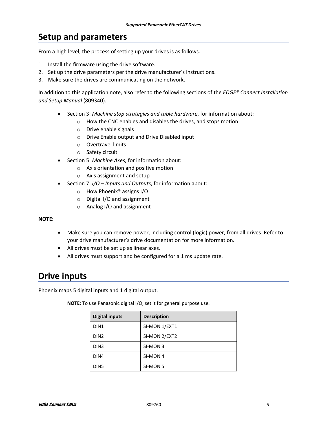### **Setup and parameters**

From a high level, the process of setting up your drives is as follows.

- 1. Install the firmware using the drive software.
- 2. Set up the drive parameters per the drive manufacturer's instructions.
- 3. Make sure the drives are communicating on the network.

In addition to this application note, also refer to the following sections of the *EDGE® Connect Installation and Setup Manual* (809340).

- Section 3: *Machine stop strategies and table hardware*, for information about:
	- o How the CNC enables and disables the drives, and stops motion
	- o Drive enable signals
	- o Drive Enable output and Drive Disabled input
	- o Overtravel limits
	- o Safety circuit
- Section 5: *Machine Axes*, for information about:
	- o Axis orientation and positive motion
	- o Axis assignment and setup
- Section 7: *I/O – Inputs and Outputs*, for information about:
	- o How Phoenix® assigns I/O
	- o Digital I/O and assignment
	- o Analog I/O and assignment

**NOTE:**

- Make sure you can remove power, including control (logic) power, from all drives. Refer to your drive manufacturer's drive documentation for more information.
- All drives must be set up as linear axes.
- All drives must support and be configured for a 1 ms update rate.

### **Drive inputs**

Phoenix maps 5 digital inputs and 1 digital output.

| <b>Digital inputs</b> | <b>Description</b> |  |  |
|-----------------------|--------------------|--|--|
| DIN <sub>1</sub>      | SI-MON 1/EXT1      |  |  |
| DIN <sub>2</sub>      | SI-MON 2/EXT2      |  |  |
| DIN <sub>3</sub>      | SI-MON 3           |  |  |
| DIN4                  | SI-MON 4           |  |  |
| DIN <sub>5</sub>      | SI-MON 5           |  |  |

**NOTE:** To use Panasonic digital I/O, set it for general purpose use.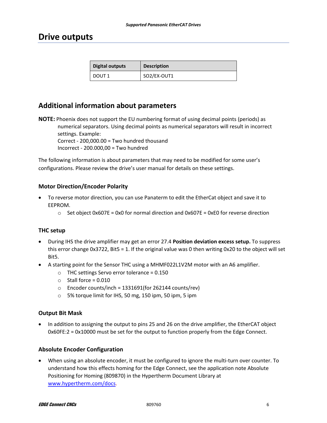### **Drive outputs**

| Digital outputs | <b>Description</b> |
|-----------------|--------------------|
| DOUT 1          | SO2/EX-OUT1        |

### **Additional information about parameters**

**NOTE:** Phoenix does not support the EU numbering format of using decimal points (periods) as numerical separators. Using decimal points as numerical separators will result in incorrect settings. Example:

Correct - 200,000.00 = Two hundred thousand Incorrect - 200.000,00 = Two hundred

The following information is about parameters that may need to be modified for some user's configurations. Please review the drive's user manual for details on these settings.

### **Motor Direction/Encoder Polarity**

- To reverse motor direction, you can use Panaterm to edit the EtherCat object and save it to EEPROM.
	- $\circ$  Set object 0x607E = 0x0 for normal direction and 0x607E = 0xE0 for reverse direction

### **THC setup**

- During IHS the drive amplifier may get an error 27.4 **Position deviation excess setup.** To suppress this error change 0x3722, Bit5 = 1. If the original value was 0 then writing 0x20 to the object will set Bit5.
- A starting point for the Sensor THC using a MHMF022L1V2M motor with an A6 amplifier.
	- o THC settings Servo error tolerance = 0.150
	- $\circ$  Stall force = 0.010
	- o Encoder counts/inch = 1331691(for 262144 counts/rev)
	- o 5% torque limit for IHS, 50 mg, 150 ipm, 50 ipm, 5 ipm

### **Output Bit Mask**

• In addition to assigning the output to pins 25 and 26 on the drive amplifier, the EtherCAT object 0x60FE:2 = 0x10000 must be set for the output to function properly from the Edge Connect.

### **Absolute Encoder Configuration**

• When using an absolute encoder, it must be configured to ignore the multi-turn over counter. To understand how this effects homing for the Edge Connect, see the application note Absolute Positioning for Homing (809870) in the Hypertherm Document Library at [www.hypertherm.com/docs.](file://htserver/TechPubs/Technical%20Writing/Source/Application%20Notes/809760_Panasonic%20EtherCAT%20Supported%20Drives/www.hypertherm.com/docs)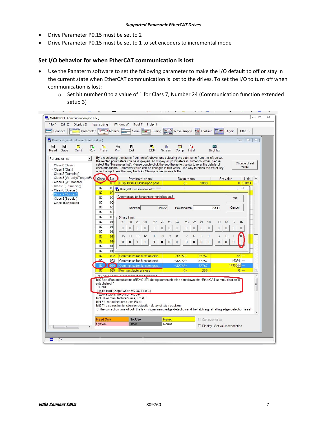- Drive Parameter P0.15 must be set to 2
- Drive Parameter P0.15 must be set to 1 to set encoders to incremental mode

### **Set I/O behavior for when EtherCAT communication is lost**

- Use the Panaterm software to set the following parameter to make the I/O default to off or stay in the current state when EtherCAT communication is lost to the drives. To set the I/O to turn off when communication is lost:
	- $\circ$  Set bit number 0 to a value of 1 for Class 7, Number 24 (Communication function extended setup 3)

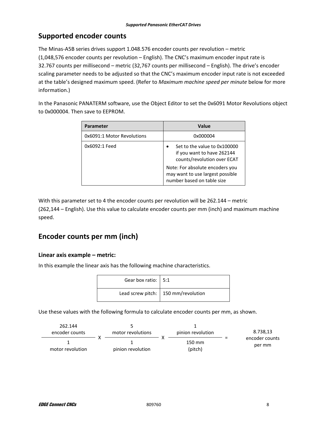### **Supported encoder counts**

The Minas-A5B series drives support 1.048.576 encoder counts per revolution – metric (1,048,576 encoder counts per revolution – English). The CNC's maximum encoder input rate is 32.767 counts per millisecond – metric (32,767 counts per millisecond – English). The drive's encoder scaling parameter needs to be adjusted so that the CNC's maximum encoder input rate is not exceeded at the table's designed maximum speed. (Refer to *Maximum machine speed per minute* below for more information.)

In the Panasonic PANATERM software, use the Object Editor to set the 0x6091 Motor Revolutions object to 0x000004. Then save to EEPROM.

| Parameter                  | Value                                                                                             |  |  |
|----------------------------|---------------------------------------------------------------------------------------------------|--|--|
| 0x6091:1 Motor Revolutions | 0x000004                                                                                          |  |  |
| 0x6092:1 Feed              | Set to the value to 0x100000<br>if you want to have 262144<br>counts/revolution over ECAT         |  |  |
|                            | Note: For absolute encoders you<br>may want to use largest possible<br>number based on table size |  |  |

With this parameter set to 4 the encoder counts per revolution will be 262.144 – metric

(262,144 – English). Use this value to calculate encoder counts per mm (inch) and maximum machine speed.

### **Encoder counts per mm (inch)**

### **Linear axis example – metric:**

In this example the linear axis has the following machine characteristics.

| Gear box ratio: 5:1 |                                             |
|---------------------|---------------------------------------------|
|                     | Lead screw pitch: $\vert$ 150 mm/revolution |

Use these values with the following formula to calculate encoder counts per mm, as shown.

| 262.144<br>encoder counts | motor revolutions | pinion revolution | 8.738.13                 |
|---------------------------|-------------------|-------------------|--------------------------|
| motor revolution          | pinion revolution | 150 mm<br>(pitch) | encoder counts<br>per mm |